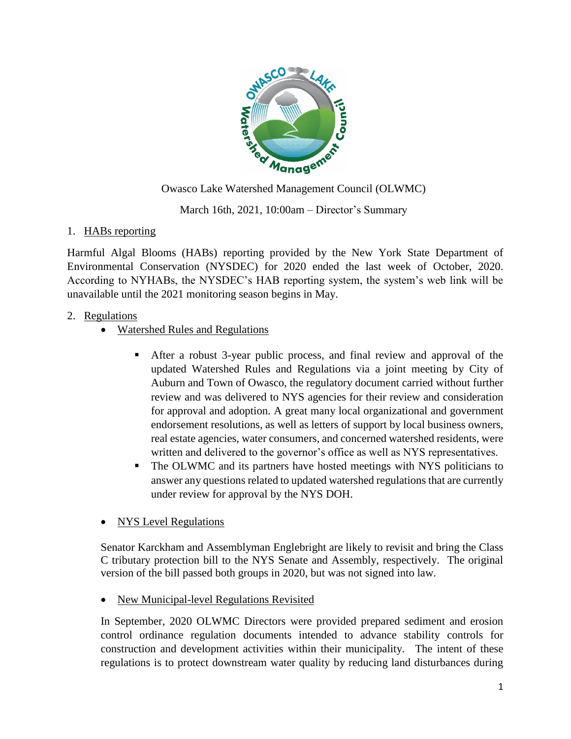

March 16th, 2021, 10:00am – Director's Summary

# 1. HABs reporting

Harmful Algal Blooms (HABs) reporting provided by the New York State Department of Environmental Conservation (NYSDEC) for 2020 ended the last week of October, 2020. According to NYHABs, the NYSDEC's HAB reporting system, the system's web link will be unavailable until the 2021 monitoring season begins in May.

# 2. Regulations

- Watershed Rules and Regulations
	- After a robust 3-year public process, and final review and approval of the updated Watershed Rules and Regulations via a joint meeting by City of Auburn and Town of Owasco, the regulatory document carried without further review and was delivered to NYS agencies for their review and consideration for approval and adoption. A great many local organizational and government endorsement resolutions, as well as letters of support by local business owners, real estate agencies, water consumers, and concerned watershed residents, were written and delivered to the governor's office as well as NYS representatives.
	- The OLWMC and its partners have hosted meetings with NYS politicians to answer any questions related to updated watershed regulations that are currently under review for approval by the NYS DOH.
- NYS Level Regulations

Senator Karckham and Assemblyman Englebright are likely to revisit and bring the Class C tributary protection bill to the NYS Senate and Assembly, respectively. The original version of the bill passed both groups in 2020, but was not signed into law.

• New Municipal-level Regulations Revisited

In September, 2020 OLWMC Directors were provided prepared sediment and erosion control ordinance regulation documents intended to advance stability controls for construction and development activities within their municipality. The intent of these regulations is to protect downstream water quality by reducing land disturbances during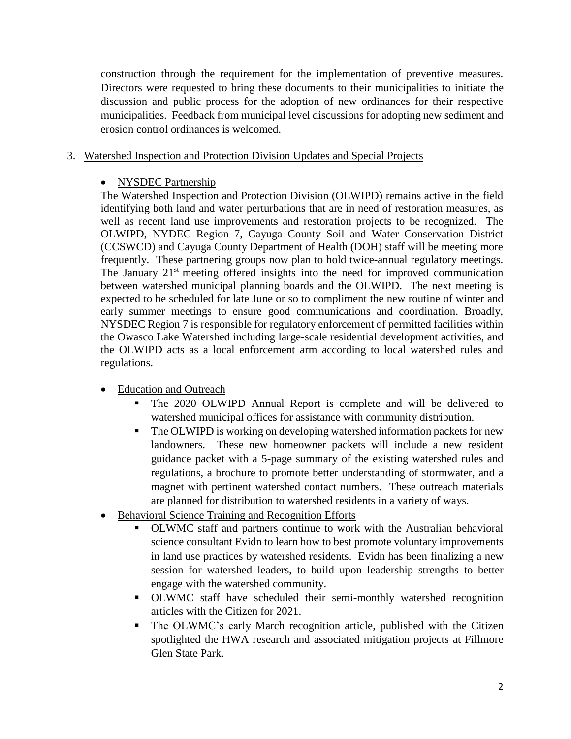construction through the requirement for the implementation of preventive measures. Directors were requested to bring these documents to their municipalities to initiate the discussion and public process for the adoption of new ordinances for their respective municipalities. Feedback from municipal level discussions for adopting new sediment and erosion control ordinances is welcomed.

#### 3. Watershed Inspection and Protection Division Updates and Special Projects

#### • NYSDEC Partnership

The Watershed Inspection and Protection Division (OLWIPD) remains active in the field identifying both land and water perturbations that are in need of restoration measures, as well as recent land use improvements and restoration projects to be recognized. The OLWIPD, NYDEC Region 7, Cayuga County Soil and Water Conservation District (CCSWCD) and Cayuga County Department of Health (DOH) staff will be meeting more frequently. These partnering groups now plan to hold twice-annual regulatory meetings. The January  $21<sup>st</sup>$  meeting offered insights into the need for improved communication between watershed municipal planning boards and the OLWIPD. The next meeting is expected to be scheduled for late June or so to compliment the new routine of winter and early summer meetings to ensure good communications and coordination. Broadly, NYSDEC Region 7 is responsible for regulatory enforcement of permitted facilities within the Owasco Lake Watershed including large-scale residential development activities, and the OLWIPD acts as a local enforcement arm according to local watershed rules and regulations.

- Education and Outreach
	- The 2020 OLWIPD Annual Report is complete and will be delivered to watershed municipal offices for assistance with community distribution.
	- The OLWIPD is working on developing watershed information packets for new landowners. These new homeowner packets will include a new resident guidance packet with a 5-page summary of the existing watershed rules and regulations, a brochure to promote better understanding of stormwater, and a magnet with pertinent watershed contact numbers. These outreach materials are planned for distribution to watershed residents in a variety of ways.
- Behavioral Science Training and Recognition Efforts
	- OLWMC staff and partners continue to work with the Australian behavioral science consultant Evidn to learn how to best promote voluntary improvements in land use practices by watershed residents. Evidn has been finalizing a new session for watershed leaders, to build upon leadership strengths to better engage with the watershed community.
	- OLWMC staff have scheduled their semi-monthly watershed recognition articles with the Citizen for 2021.
	- The OLWMC's early March recognition article, published with the Citizen spotlighted the HWA research and associated mitigation projects at Fillmore Glen State Park.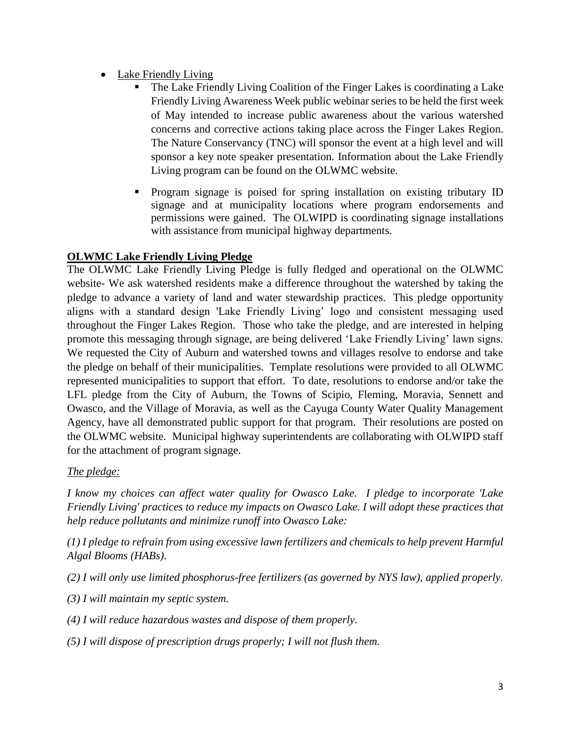- Lake Friendly Living
	- The Lake Friendly Living Coalition of the Finger Lakes is coordinating a Lake Friendly Living Awareness Week public webinar series to be held the first week of May intended to increase public awareness about the various watershed concerns and corrective actions taking place across the Finger Lakes Region. The Nature Conservancy (TNC) will sponsor the event at a high level and will sponsor a key note speaker presentation. Information about the Lake Friendly Living program can be found on the OLWMC website.
	- Program signage is poised for spring installation on existing tributary ID signage and at municipality locations where program endorsements and permissions were gained. The OLWIPD is coordinating signage installations with assistance from municipal highway departments.

# **OLWMC Lake Friendly Living Pledge**

The OLWMC Lake Friendly Living Pledge is fully fledged and operational on the OLWMC website- We ask watershed residents make a difference throughout the watershed by taking the pledge to advance a variety of land and water stewardship practices. This pledge opportunity aligns with a standard design 'Lake Friendly Living' logo and consistent messaging used throughout the Finger Lakes Region. Those who take the pledge, and are interested in helping promote this messaging through signage, are being delivered 'Lake Friendly Living' lawn signs. We requested the City of Auburn and watershed towns and villages resolve to endorse and take the pledge on behalf of their municipalities. Template resolutions were provided to all OLWMC represented municipalities to support that effort. To date, resolutions to endorse and/or take the LFL pledge from the City of Auburn, the Towns of Scipio, Fleming, Moravia, Sennett and Owasco, and the Village of Moravia, as well as the Cayuga County Water Quality Management Agency, have all demonstrated public support for that program. Their resolutions are posted on the OLWMC website. Municipal highway superintendents are collaborating with OLWIPD staff for the attachment of program signage.

# *The pledge:*

*I know my choices can affect water quality for Owasco Lake. I pledge to incorporate 'Lake Friendly Living' practices to reduce my impacts on Owasco Lake. I will adopt these practices that help reduce pollutants and minimize runoff into Owasco Lake:*

*(1) I pledge to refrain from using excessive lawn fertilizers and chemicals to help prevent Harmful Algal Blooms (HABs).*

- *(2) I will only use limited phosphorus-free fertilizers (as governed by NYS law), applied properly.*
- *(3) I will maintain my septic system.*
- *(4) I will reduce hazardous wastes and dispose of them properly.*
- *(5) I will dispose of prescription drugs properly; I will not flush them.*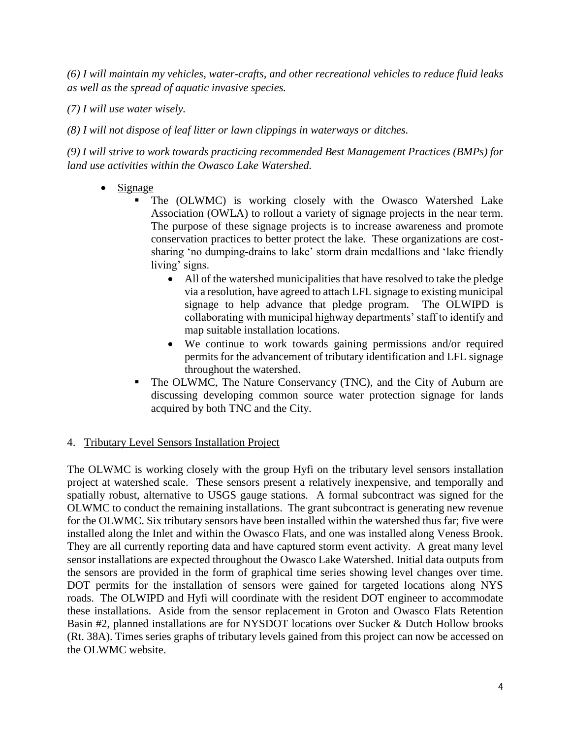*(6) I will maintain my vehicles, water-crafts, and other recreational vehicles to reduce fluid leaks as well as the spread of aquatic invasive species.*

*(7) I will use water wisely.*

*(8) I will not dispose of leaf litter or lawn clippings in waterways or ditches.*

*(9) I will strive to work towards practicing recommended Best Management Practices (BMPs) for land use activities within the Owasco Lake Watershed.*

- Signage
	- The (OLWMC) is working closely with the Owasco Watershed Lake Association (OWLA) to rollout a variety of signage projects in the near term. The purpose of these signage projects is to increase awareness and promote conservation practices to better protect the lake. These organizations are costsharing 'no dumping-drains to lake' storm drain medallions and 'lake friendly living' signs.
		- All of the watershed municipalities that have resolved to take the pledge via a resolution, have agreed to attach LFL signage to existing municipal signage to help advance that pledge program. The OLWIPD is collaborating with municipal highway departments' staff to identify and map suitable installation locations.
		- We continue to work towards gaining permissions and/or required permits for the advancement of tributary identification and LFL signage throughout the watershed.
	- The OLWMC, The Nature Conservancy (TNC), and the City of Auburn are discussing developing common source water protection signage for lands acquired by both TNC and the City.

# 4. Tributary Level Sensors Installation Project

The OLWMC is working closely with the group Hyfi on the tributary level sensors installation project at watershed scale. These sensors present a relatively inexpensive, and temporally and spatially robust, alternative to USGS gauge stations. A formal subcontract was signed for the OLWMC to conduct the remaining installations. The grant subcontract is generating new revenue for the OLWMC. Six tributary sensors have been installed within the watershed thus far; five were installed along the Inlet and within the Owasco Flats, and one was installed along Veness Brook. They are all currently reporting data and have captured storm event activity. A great many level sensor installations are expected throughout the Owasco Lake Watershed. Initial data outputs from the sensors are provided in the form of graphical time series showing level changes over time. DOT permits for the installation of sensors were gained for targeted locations along NYS roads. The OLWIPD and Hyfi will coordinate with the resident DOT engineer to accommodate these installations. Aside from the sensor replacement in Groton and Owasco Flats Retention Basin #2, planned installations are for NYSDOT locations over Sucker & Dutch Hollow brooks (Rt. 38A). Times series graphs of tributary levels gained from this project can now be accessed on the OLWMC website.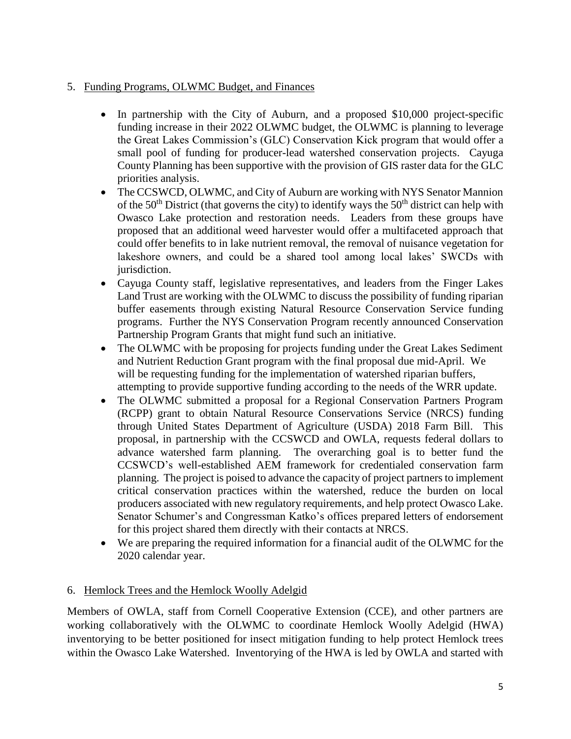# 5. Funding Programs, OLWMC Budget, and Finances

- In partnership with the City of Auburn, and a proposed \$10,000 project-specific funding increase in their 2022 OLWMC budget, the OLWMC is planning to leverage the Great Lakes Commission's (GLC) Conservation Kick program that would offer a small pool of funding for producer-lead watershed conservation projects. Cayuga County Planning has been supportive with the provision of GIS raster data for the GLC priorities analysis.
- The CCSWCD, OLWMC, and City of Auburn are working with NYS Senator Mannion of the  $50<sup>th</sup>$  District (that governs the city) to identify ways the  $50<sup>th</sup>$  district can help with Owasco Lake protection and restoration needs. Leaders from these groups have proposed that an additional weed harvester would offer a multifaceted approach that could offer benefits to in lake nutrient removal, the removal of nuisance vegetation for lakeshore owners, and could be a shared tool among local lakes' SWCDs with jurisdiction.
- Cayuga County staff, legislative representatives, and leaders from the Finger Lakes Land Trust are working with the OLWMC to discuss the possibility of funding riparian buffer easements through existing Natural Resource Conservation Service funding programs. Further the NYS Conservation Program recently announced Conservation Partnership Program Grants that might fund such an initiative.
- The OLWMC with be proposing for projects funding under the Great Lakes Sediment and Nutrient Reduction Grant program with the final proposal due mid-April. We will be requesting funding for the implementation of watershed riparian buffers, attempting to provide supportive funding according to the needs of the WRR update.
- The OLWMC submitted a proposal for a Regional Conservation Partners Program (RCPP) grant to obtain Natural Resource Conservations Service (NRCS) funding through United States Department of Agriculture (USDA) 2018 Farm Bill. This proposal, in partnership with the CCSWCD and OWLA, requests federal dollars to advance watershed farm planning. The overarching goal is to better fund the CCSWCD's well-established AEM framework for credentialed conservation farm planning. The project is poised to advance the capacity of project partners to implement critical conservation practices within the watershed, reduce the burden on local producers associated with new regulatory requirements, and help protect Owasco Lake. Senator Schumer's and Congressman Katko's offices prepared letters of endorsement for this project shared them directly with their contacts at NRCS.
- We are preparing the required information for a financial audit of the OLWMC for the 2020 calendar year.

### 6. Hemlock Trees and the Hemlock Woolly Adelgid

Members of OWLA, staff from Cornell Cooperative Extension (CCE), and other partners are working collaboratively with the OLWMC to coordinate Hemlock Woolly Adelgid (HWA) inventorying to be better positioned for insect mitigation funding to help protect Hemlock trees within the Owasco Lake Watershed. Inventorying of the HWA is led by OWLA and started with